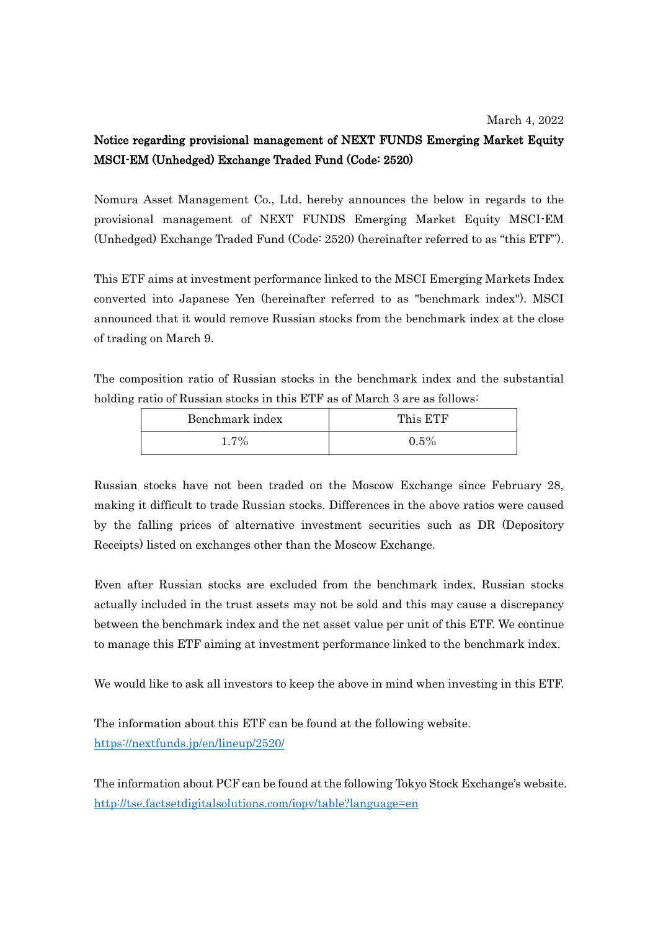## Notice regarding provisional management of NEXT FUNDS Emerging Market Equity MSCI-EM (Unhedged) Exchange Traded Fund (Code: 2520)

Nomura Asset Management Co., Ltd. hereby announces the below in regards to the provisional management of NEXT FUNDS Emerging Market Equity MSCI-EM (Unhedged) Exchange Traded Fund (Code: 2520) (hereinafter referred to as "this ETF").

This ETF aims at investment performance linked to the MSCI Emerging Markets Index converted into Japanese Yen (hereinafter referred to as "benchmark index"). MSCI announced that it would remove Russian stocks from the benchmark index at the close of trading on March 9.

The composition ratio of Russian stocks in the benchmark index and the substantial holding ratio of Russian stocks in this ETF as of March 3 are as follows:

| Benchmark index | This ETF |
|-----------------|----------|
| $1.7\%$         | $0.5\%$  |

Russian stocks have not been traded on the Moscow Exchange since February 28, making it difficult to trade Russian stocks. Differences in the above ratios were caused by the falling prices of alternative investment securities such as DR (Depository Receipts) listed on exchanges other than the Moscow Exchange.

Even after Russian stocks are excluded from the benchmark index, Russian stocks actually included in the trust assets may not be sold and this may cause a discrepancy between the benchmark index and the net asset value per unit of this ETF. We continue to manage this ETF aiming at investment performance linked to the benchmark index.

We would like to ask all investors to keep the above in mind when investing in this ETF.

The information about this ETF can be found at the following website. <https://nextfunds.jp/en/lineup/2520/>

The information about PCF can be found at the following Tokyo Stock Exchange's website. <http://tse.factsetdigitalsolutions.com/iopv/table?language=en>